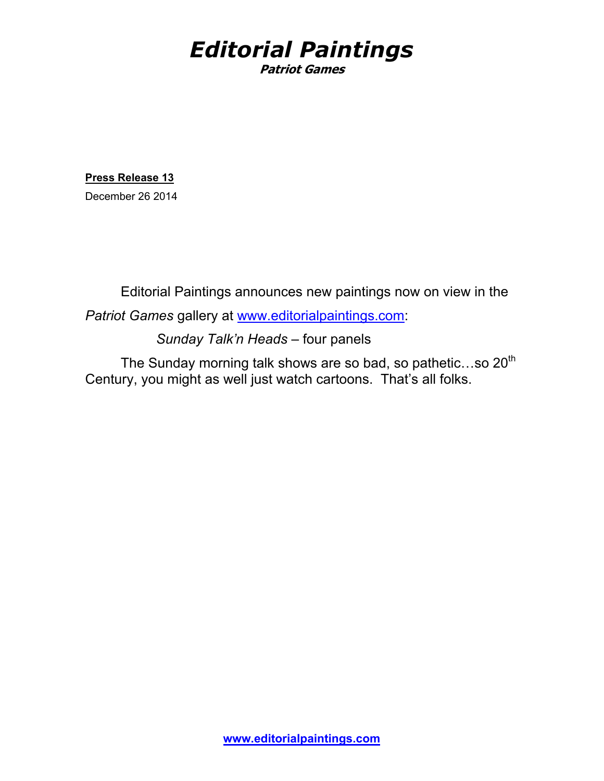## *Editorial Paintings* **Patriot Games**

**Press Release 13**

December 26 2014

 Editorial Paintings announces new paintings now on view in the *Patriot Games* gallery at www.editorialpaintings.com:

*Sunday Talk'n Heads* – four panels

The Sunday morning talk shows are so bad, so pathetic...so  $20<sup>th</sup>$ Century, you might as well just watch cartoons. That's all folks.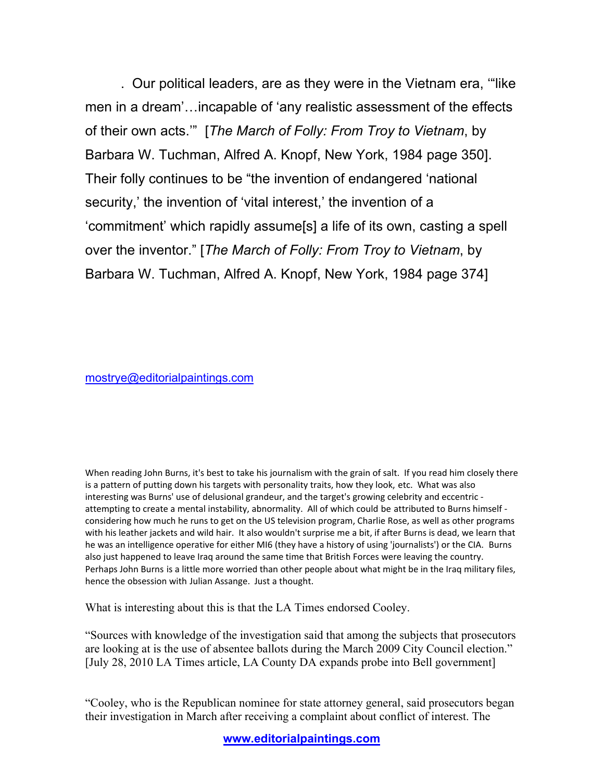. Our political leaders, are as they were in the Vietnam era, '"like men in a dream'…incapable of 'any realistic assessment of the effects of their own acts.'" [*The March of Folly: From Troy to Vietnam*, by Barbara W. Tuchman, Alfred A. Knopf, New York, 1984 page 350]. Their folly continues to be "the invention of endangered 'national security,' the invention of 'vital interest,' the invention of a 'commitment' which rapidly assume[s] a life of its own, casting a spell over the inventor." [*The March of Folly: From Troy to Vietnam*, by Barbara W. Tuchman, Alfred A. Knopf, New York, 1984 page 374]

mostrye@editorialpaintings.com

When reading John Burns, it's best to take his journalism with the grain of salt. If you read him closely there is a pattern of putting down his targets with personality traits, how they look, etc. What was also interesting was Burns' use of delusional grandeur, and the target's growing celebrity and eccentric attempting to create a mental instability, abnormality. All of which could be attributed to Burns himself considering how much he runs to get on the US television program, Charlie Rose, as well as other programs with his leather jackets and wild hair. It also wouldn't surprise me a bit, if after Burns is dead, we learn that he was an intelligence operative for either MI6 (they have a history of using 'journalists') or the CIA. Burns also just happened to leave Iraq around the same time that British Forces were leaving the country. Perhaps John Burns is a little more worried than other people about what might be in the Iraq military files, hence the obsession with Julian Assange. Just a thought.

What is interesting about this is that the LA Times endorsed Cooley.

"Sources with knowledge of the investigation said that among the subjects that prosecutors are looking at is the use of absentee ballots during the March 2009 City Council election." [July 28, 2010 LA Times article, LA County DA expands probe into Bell government]

"Cooley, who is the Republican nominee for state attorney general, said prosecutors began their investigation in March after receiving a complaint about conflict of interest. The

**www.editorialpaintings.com**